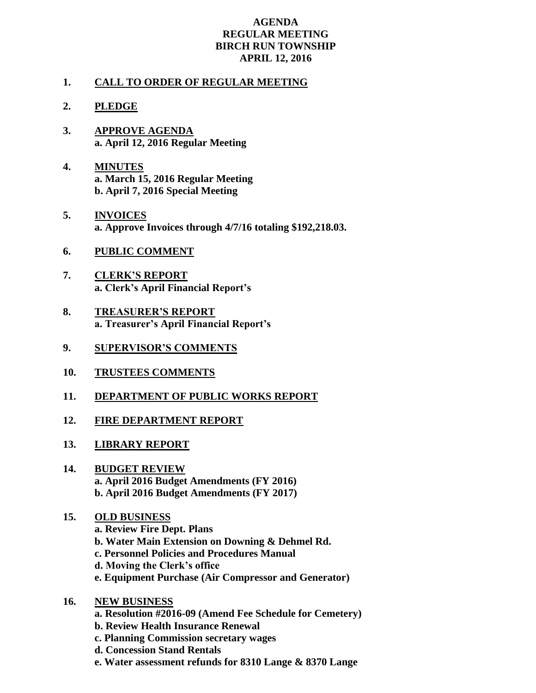## **AGENDA REGULAR MEETING BIRCH RUN TOWNSHIP APRIL 12, 2016**

## **1. CALL TO ORDER OF REGULAR MEETING**

- **2. PLEDGE**
- **3. APPROVE AGENDA a. April 12, 2016 Regular Meeting**
- **4. MINUTES a. March 15, 2016 Regular Meeting b. April 7, 2016 Special Meeting**
- **5. INVOICES a. Approve Invoices through 4/7/16 totaling \$192,218.03.**
- **6. PUBLIC COMMENT**
- **7. CLERK'S REPORT a. Clerk's April Financial Report's**
- **8. TREASURER'S REPORT a. Treasurer's April Financial Report's**
- **9. SUPERVISOR'S COMMENTS**
- **10. TRUSTEES COMMENTS**
- **11. DEPARTMENT OF PUBLIC WORKS REPORT**
- **12. FIRE DEPARTMENT REPORT**
- **13. LIBRARY REPORT**
- **14. BUDGET REVIEW a. April 2016 Budget Amendments (FY 2016) b. April 2016 Budget Amendments (FY 2017)**
- **15. OLD BUSINESS**
	- **a. Review Fire Dept. Plans**
	- **b. Water Main Extension on Downing & Dehmel Rd.**
	- **c. Personnel Policies and Procedures Manual**
	- **d. Moving the Clerk's office**
	- **e. Equipment Purchase (Air Compressor and Generator)**
- **16. NEW BUSINESS**
	- **a. Resolution #2016-09 (Amend Fee Schedule for Cemetery)**
	- **b. Review Health Insurance Renewal**
	- **c. Planning Commission secretary wages**
	- **d. Concession Stand Rentals**
	- **e. Water assessment refunds for 8310 Lange & 8370 Lange**